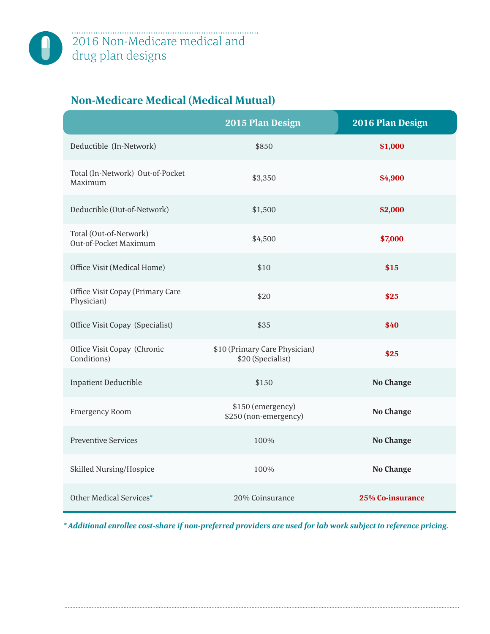## **Non-Medicare Medical (Medical Mutual)**

|                                                 | 2015 Plan Design                                   | 2016 Plan Design |
|-------------------------------------------------|----------------------------------------------------|------------------|
| Deductible (In-Network)                         | \$850                                              | \$1,000          |
| Total (In-Network) Out-of-Pocket<br>Maximum     | \$3,350                                            | \$4,900          |
| Deductible (Out-of-Network)                     | \$1,500                                            | \$2,000          |
| Total (Out-of-Network)<br>Out-of-Pocket Maximum | \$4,500                                            | \$7,000          |
| Office Visit (Medical Home)                     | \$10                                               | \$15             |
| Office Visit Copay (Primary Care<br>Physician)  | \$20                                               | \$25             |
| Office Visit Copay (Specialist)                 | \$35                                               | \$40             |
| Office Visit Copay (Chronic<br>Conditions)      | \$10 (Primary Care Physician)<br>\$20 (Specialist) | \$25             |
| <b>Inpatient Deductible</b>                     | \$150                                              | <b>No Change</b> |
| <b>Emergency Room</b>                           | \$150 (emergency)<br>\$250 (non-emergency)         | <b>No Change</b> |
| <b>Preventive Services</b>                      | 100%                                               | <b>No Change</b> |
| Skilled Nursing/Hospice                         | 100%                                               | <b>No Change</b> |
| Other Medical Services*                         | 20% Coinsurance                                    | 25% Co-insurance |

*\* Additional enrollee cost-share if non-preferred providers are used for lab work subject to reference pricing.*